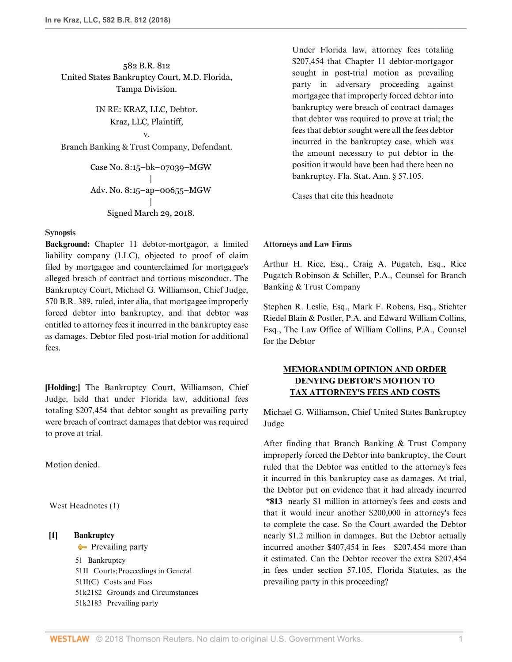# 582 B.R. 812 United States Bankruptcy Court, M.D. Florida, Tampa Division.

IN RE: [KRAZ, LLC,](http://www.westlaw.com/Search/Results.html?query=advanced%3a+OAID(5040170748)&saveJuris=False&contentType=BUSINESS-INVESTIGATOR&startIndex=1&contextData=(sc.Default)&categoryPageUrl=Home%2fCompanyInvestigator&originationContext=document&vr=3.0&rs=cblt1.0&transitionType=DocumentItem) Debtor. [Kraz, LLC,](http://www.westlaw.com/Search/Results.html?query=advanced%3a+OAID(5040170748)&saveJuris=False&contentType=BUSINESS-INVESTIGATOR&startIndex=1&contextData=(sc.Default)&categoryPageUrl=Home%2fCompanyInvestigator&originationContext=document&vr=3.0&rs=cblt1.0&transitionType=DocumentItem) Plaintiff, v.

Branch Banking & Trust Company, Defendant.

Case No. 8:15–bk–07039–MGW | Adv. No. 8:15–ap–00655–MGW | Signed March 29, 2018.

#### **Synopsis**

**Background:** Chapter 11 debtor-mortgagor, a limited liability company (LLC), objected to proof of claim filed by mortgagee and counterclaimed for mortgagee's alleged breach of contract and tortious misconduct. The Bankruptcy Court, [Michael G. Williamson](http://www.westlaw.com/Link/Document/FullText?findType=h&pubNum=176284&cite=0140045601&originatingDoc=If26a45e0369811e8a054a06708233710&refType=RQ&originationContext=document&vr=3.0&rs=cblt1.0&transitionType=DocumentItem&contextData=(sc.PubAlert)), Chief Judge, [570 B.R. 389](http://www.westlaw.com/Link/Document/FullText?findType=Y&serNum=2041473046&pubNum=0000164&originatingDoc=If26a45e0369811e8a054a06708233710&refType=RP&originationContext=document&vr=3.0&rs=cblt1.0&transitionType=DocumentItem&contextData=(sc.PubAlert)), ruled, inter alia, that mortgagee improperly forced debtor into bankruptcy, and that debtor was entitled to attorney fees it incurred in the bankruptcy case as damages. Debtor filed post-trial motion for additional fees.

**[Holding:]** The Bankruptcy Court, [Williamson,](http://www.westlaw.com/Link/Document/FullText?findType=h&pubNum=176284&cite=0140045601&originatingDoc=If26a45e0369811e8a054a06708233710&refType=RQ&originationContext=document&vr=3.0&rs=cblt1.0&transitionType=DocumentItem&contextData=(sc.PubAlert)) Chief Judge, held that under Florida law, additional fees totaling \$207,454 that debtor sought as prevailing party were breach of contract damages that debtor was required to prove at trial.

Motion denied.

West Headnotes (1)

#### <span id="page-0-0"></span>**[1] [Bankruptcy](http://www.westlaw.com/Browse/Home/KeyNumber/51/View.html?docGuid=If26a45e0369811e8a054a06708233710&originationContext=document&vr=3.0&rs=cblt1.0&transitionType=DocumentItem&contextData=(sc.PubAlert))**

**[Prevailing party](http://www.westlaw.com/Browse/Home/KeyNumber/51k2183/View.html?docGuid=If26a45e0369811e8a054a06708233710&originationContext=document&vr=3.0&rs=cblt1.0&transitionType=DocumentItem&contextData=(sc.PubAlert))** 

[51](http://www.westlaw.com/Browse/Home/KeyNumber/51/View.html?docGuid=If26a45e0369811e8a054a06708233710&originationContext=document&vr=3.0&rs=cblt1.0&transitionType=DocumentItem&contextData=(sc.PubAlert)) Bankruptcy [51II](http://www.westlaw.com/Browse/Home/KeyNumber/51II/View.html?docGuid=If26a45e0369811e8a054a06708233710&originationContext=document&vr=3.0&rs=cblt1.0&transitionType=DocumentItem&contextData=(sc.PubAlert)) Courts; Proceedings in General [51II\(C\)](http://www.westlaw.com/Browse/Home/KeyNumber/51II(C)/View.html?docGuid=If26a45e0369811e8a054a06708233710&originationContext=document&vr=3.0&rs=cblt1.0&transitionType=DocumentItem&contextData=(sc.PubAlert)) Costs and Fees [51k2182](http://www.westlaw.com/Browse/Home/KeyNumber/51k2182/View.html?docGuid=If26a45e0369811e8a054a06708233710&originationContext=document&vr=3.0&rs=cblt1.0&transitionType=DocumentItem&contextData=(sc.PubAlert)) Grounds and Circumstances [51k2183](http://www.westlaw.com/Browse/Home/KeyNumber/51k2183/View.html?docGuid=If26a45e0369811e8a054a06708233710&originationContext=document&vr=3.0&rs=cblt1.0&transitionType=DocumentItem&contextData=(sc.PubAlert)) Prevailing party

Under Florida law, attorney fees totaling \$207,454 that Chapter 11 debtor-mortgagor sought in post-trial motion as prevailing party in adversary proceeding against mortgagee that improperly forced debtor into bankruptcy were breach of contract damages that debtor was required to prove at trial; the fees that debtor sought were all the fees debtor incurred in the bankruptcy case, which was the amount necessary to put debtor in the position it would have been had there been no bankruptcy. [Fla. Stat. Ann. § 57.105.](http://www.westlaw.com/Link/Document/FullText?findType=L&pubNum=1000006&cite=FLSTS57.105&originatingDoc=If26a45e0369811e8a054a06708233710&refType=LQ&originationContext=document&vr=3.0&rs=cblt1.0&transitionType=DocumentItem&contextData=(sc.PubAlert))

[Cases that cite this headnote](http://www.westlaw.com/Link/RelatedInformation/DocHeadnoteLink?docGuid=If26a45e0369811e8a054a06708233710&headnoteId=204421592600120180501234624&originationContext=document&vr=3.0&rs=cblt1.0&transitionType=CitingReferences&contextData=(sc.PubAlert))

#### **Attorneys and Law Firms**

[Arthur H. Rice,](http://www.westlaw.com/Link/Document/FullText?findType=h&pubNum=176284&cite=0161262501&originatingDoc=If26a45e0369811e8a054a06708233710&refType=RQ&originationContext=document&vr=3.0&rs=cblt1.0&transitionType=DocumentItem&contextData=(sc.PubAlert)) Esq., [Craig A. Pugatch,](http://www.westlaw.com/Link/Document/FullText?findType=h&pubNum=176284&cite=0362409201&originatingDoc=If26a45e0369811e8a054a06708233710&refType=RQ&originationContext=document&vr=3.0&rs=cblt1.0&transitionType=DocumentItem&contextData=(sc.PubAlert)) Esq., Rice Pugatch Robinson & Schiller, P.A., Counsel for Branch Banking & Trust Company

[Stephen R. Leslie,](http://www.westlaw.com/Link/Document/FullText?findType=h&pubNum=176284&cite=0207521001&originatingDoc=If26a45e0369811e8a054a06708233710&refType=RQ&originationContext=document&vr=3.0&rs=cblt1.0&transitionType=DocumentItem&contextData=(sc.PubAlert)) Esq., [Mark F. Robens](http://www.westlaw.com/Link/Document/FullText?findType=h&pubNum=176284&cite=0496470399&originatingDoc=If26a45e0369811e8a054a06708233710&refType=RQ&originationContext=document&vr=3.0&rs=cblt1.0&transitionType=DocumentItem&contextData=(sc.PubAlert)), Esq., Stichter Riedel Blain & Postler, P.A. and Edward William Collins, Esq., The Law Office of William Collins, P.A., Counsel for the Debtor

# **MEMORANDUM OPINION AND ORDER DENYING DEBTOR'S MOTION TO TAX ATTORNEY'S FEES AND COSTS**

Michael G. Williamson, Chief United States Bankruptcy Judge

After finding that Branch Banking & Trust Company improperly forced the Debtor into bankruptcy, the Court ruled that the Debtor was entitled to the attorney's fees it incurred in this bankruptcy case as damages. At trial, the Debtor put on evidence that it had already incurred **\*813** nearly \$1 million in attorney's fees and costs and that it would incur another \$200,000 in attorney's fees to complete the case. So the Court awarded the Debtor nearly \$1.2 million in damages. But the Debtor actually incurred another \$407,454 in fees—\$207,454 more than it estimated. Can the Debtor recover the extra \$207,454 in fees under [section 57.105, Florida Statutes](http://www.westlaw.com/Link/Document/FullText?findType=L&pubNum=1000006&cite=FLSTS57.105&originatingDoc=If26a45e0369811e8a054a06708233710&refType=LQ&originationContext=document&vr=3.0&rs=cblt1.0&transitionType=DocumentItem&contextData=(sc.PubAlert)), as the prevailing party in this proceeding?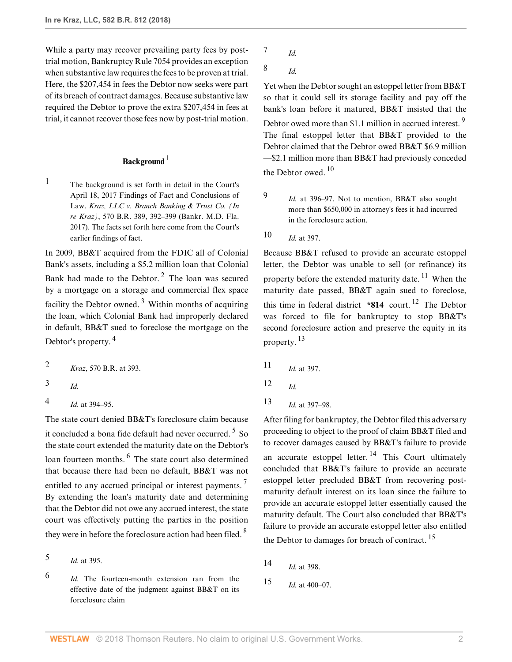While a party may recover prevailing party fees by posttrial motion, Bankruptcy Rule 7054 provides an exception when substantive law requires the fees to be proven at trial. Here, the \$207,454 in fees the Debtor now seeks were part of its breach of contract damages. Because substantive law required the Debtor to prove the extra \$207,454 in fees at trial, it cannot recover those fees now by post-trial motion.

## <span id="page-1-1"></span>**Background**<sup>[1](#page-1-0)</sup>

<span id="page-1-0"></span><sup>[1](#page-1-1)</sup> The background is set forth in detail in the Court's April 18, 2017 Findings of Fact and Conclusions of Law. *[Kraz, LLC v. Branch Banking & Trust Co. \(In](http://www.westlaw.com/Link/Document/FullText?findType=Y&serNum=2041473046&pubNum=0000164&originatingDoc=If26a45e0369811e8a054a06708233710&refType=RP&fi=co_pp_sp_164_392&originationContext=document&vr=3.0&rs=cblt1.0&transitionType=DocumentItem&contextData=(sc.PubAlert)#co_pp_sp_164_392) re Kraz)*[, 570 B.R. 389, 392–399 \(Bankr. M.D. Fla.](http://www.westlaw.com/Link/Document/FullText?findType=Y&serNum=2041473046&pubNum=0000164&originatingDoc=If26a45e0369811e8a054a06708233710&refType=RP&fi=co_pp_sp_164_392&originationContext=document&vr=3.0&rs=cblt1.0&transitionType=DocumentItem&contextData=(sc.PubAlert)#co_pp_sp_164_392) [2017\).](http://www.westlaw.com/Link/Document/FullText?findType=Y&serNum=2041473046&pubNum=0000164&originatingDoc=If26a45e0369811e8a054a06708233710&refType=RP&fi=co_pp_sp_164_392&originationContext=document&vr=3.0&rs=cblt1.0&transitionType=DocumentItem&contextData=(sc.PubAlert)#co_pp_sp_164_392) The facts set forth here come from the Court's earlier findings of fact.

<span id="page-1-6"></span>In 2009, BB&T acquired from the FDIC all of Colonial Bank's assets, including a \$5.2 million loan that Colonial Bank had made to the Debtor. $2$  The loan was secured by a mortgage on a storage and commercial flex space facility the Debtor owned.<sup>[3](#page-1-3)</sup> Within months of acquiring the loan, which Colonial Bank had improperly declared in default, BB&T sued to foreclose the mortgage on the Debtor's property. [4](#page-1-4)

<span id="page-1-2"></span>[2](#page-1-5) *Kraz*[, 570 B.R. at 393](http://www.westlaw.com/Link/Document/FullText?findType=Y&serNum=2041473046&pubNum=0000164&originatingDoc=If26a45e0369811e8a054a06708233710&refType=RP&fi=co_pp_sp_164_393&originationContext=document&vr=3.0&rs=cblt1.0&transitionType=DocumentItem&contextData=(sc.PubAlert)#co_pp_sp_164_393).

<span id="page-1-3"></span>[3](#page-1-6)

<span id="page-1-4"></span>[4](#page-1-7) *Id.* [at 394–95](http://www.westlaw.com/Link/Document/FullText?findType=Y&serNum=2041473046&pubNum=0000164&originatingDoc=If26a45e0369811e8a054a06708233710&refType=RP&fi=co_pp_sp_164_394&originationContext=document&vr=3.0&rs=cblt1.0&transitionType=DocumentItem&contextData=(sc.PubAlert)#co_pp_sp_164_394).

<span id="page-1-13"></span><span id="page-1-7"></span>*[Id.](http://www.westlaw.com/Link/Document/FullText?findType=Y&serNum=2041473046&pubNum=0000164&originatingDoc=If26a45e0369811e8a054a06708233710&refType=RP&originationContext=document&vr=3.0&rs=cblt1.0&transitionType=DocumentItem&contextData=(sc.PubAlert))*

The state court denied BB&T's foreclosure claim because it concluded a bona fide default had never occurred. <sup>[5](#page-1-8)</sup> So the state court extended the maturity date on the Debtor's loan fourteen months. <sup>[6](#page-1-9)</sup> The state court also determined that because there had been no default, BB&T was not entitled to any accrued principal or interest payments. By extending the loan's maturity date and determining that the Debtor did not owe any accrued interest, the state court was effectively putting the parties in the position they were in before the foreclosure action had been filed. <sup>[8](#page-1-11)</sup>

<span id="page-1-8"></span>[5](#page-1-12) *Id.* [at 395.](http://www.westlaw.com/Link/Document/FullText?findType=Y&serNum=2041473046&pubNum=0000164&originatingDoc=If26a45e0369811e8a054a06708233710&refType=RP&fi=co_pp_sp_164_395&originationContext=document&vr=3.0&rs=cblt1.0&transitionType=DocumentItem&contextData=(sc.PubAlert)#co_pp_sp_164_395)

<span id="page-1-9"></span>[6](#page-1-13) *[Id.](http://www.westlaw.com/Link/Document/FullText?findType=Y&serNum=2041473046&pubNum=0000164&originatingDoc=If26a45e0369811e8a054a06708233710&refType=RP&originationContext=document&vr=3.0&rs=cblt1.0&transitionType=DocumentItem&contextData=(sc.PubAlert))* The fourteen-month extension ran from the effective date of the judgment against BB&T on its foreclosure claim

- <span id="page-1-10"></span>[7](#page-1-14) *[Id.](http://www.westlaw.com/Link/Document/FullText?findType=Y&serNum=2041473046&pubNum=0000164&originatingDoc=If26a45e0369811e8a054a06708233710&refType=RP&originationContext=document&vr=3.0&rs=cblt1.0&transitionType=DocumentItem&contextData=(sc.PubAlert))*
- <span id="page-1-11"></span>[8](#page-1-15) *[Id.](http://www.westlaw.com/Link/Document/FullText?findType=Y&serNum=2041473046&pubNum=0000164&originatingDoc=If26a45e0369811e8a054a06708233710&refType=RP&originationContext=document&vr=3.0&rs=cblt1.0&transitionType=DocumentItem&contextData=(sc.PubAlert))*

<span id="page-1-18"></span>Yet when the Debtor sought an estoppel letter from BB&T so that it could sell its storage facility and pay off the bank's loan before it matured, BB&T insisted that the Debtor owed more than \$1.1 million in accrued interest.<sup>[9](#page-1-16)</sup> The final estoppel letter that BB&T provided to the Debtor claimed that the Debtor owed BB&T \$6.9 million —\$2.1 million more than BB&T had previously conceded the Debtor owed.<sup>[10](#page-1-17)</sup>

<span id="page-1-19"></span>*Id.* [at 396–97.](http://www.westlaw.com/Link/Document/FullText?findType=Y&serNum=2041473046&pubNum=0000164&originatingDoc=If26a45e0369811e8a054a06708233710&refType=RP&fi=co_pp_sp_164_396&originationContext=document&vr=3.0&rs=cblt1.0&transitionType=DocumentItem&contextData=(sc.PubAlert)#co_pp_sp_164_396) Not to mention, BB&T also sought more than \$650,000 in attorney's fees it had incurred in the foreclosure action.

<span id="page-1-17"></span>[10](#page-1-19) *Id.* [at 397.](http://www.westlaw.com/Link/Document/FullText?findType=Y&serNum=2041473046&pubNum=0000164&originatingDoc=If26a45e0369811e8a054a06708233710&refType=RP&fi=co_pp_sp_164_397&originationContext=document&vr=3.0&rs=cblt1.0&transitionType=DocumentItem&contextData=(sc.PubAlert)#co_pp_sp_164_397)

<span id="page-1-16"></span>[9](#page-1-18)

<span id="page-1-24"></span><span id="page-1-23"></span><span id="page-1-5"></span>Because BB&T refused to provide an accurate estoppel letter, the Debtor was unable to sell (or refinance) its property before the extended maturity date.  $^{11}$  $^{11}$  $^{11}$  When the maturity date passed, BB&T again sued to foreclose, this time in federal district  $*814$  court.<sup>[12](#page-1-21)</sup> The Debtor was forced to file for bankruptcy to stop BB&T's second foreclosure action and preserve the equity in its property. [13](#page-1-22)

- <span id="page-1-25"></span><span id="page-1-20"></span>[11](#page-1-23) *Id.* [at 397.](http://www.westlaw.com/Link/Document/FullText?findType=Y&serNum=2041473046&pubNum=0000164&originatingDoc=If26a45e0369811e8a054a06708233710&refType=RP&fi=co_pp_sp_164_397&originationContext=document&vr=3.0&rs=cblt1.0&transitionType=DocumentItem&contextData=(sc.PubAlert)#co_pp_sp_164_397)
- <span id="page-1-21"></span>[12](#page-1-24) *[Id.](http://www.westlaw.com/Link/Document/FullText?findType=Y&serNum=2041473046&pubNum=0000164&originatingDoc=If26a45e0369811e8a054a06708233710&refType=RP&originationContext=document&vr=3.0&rs=cblt1.0&transitionType=DocumentItem&contextData=(sc.PubAlert))*
- <span id="page-1-22"></span>[13](#page-1-25) *Id.* [at 397–98](http://www.westlaw.com/Link/Document/FullText?findType=Y&serNum=2041473046&pubNum=0000164&originatingDoc=If26a45e0369811e8a054a06708233710&refType=RP&fi=co_pp_sp_164_397&originationContext=document&vr=3.0&rs=cblt1.0&transitionType=DocumentItem&contextData=(sc.PubAlert)#co_pp_sp_164_397).

<span id="page-1-28"></span><span id="page-1-14"></span><span id="page-1-12"></span>After filing for bankruptcy, the Debtor filed this adversary proceeding to object to the proof of claim BB&T filed and to recover damages caused by BB&T's failure to provide an accurate estoppel letter. <sup>[14](#page-1-26)</sup> This Court ultimately concluded that BB&T's failure to provide an accurate estoppel letter precluded BB&T from recovering postmaturity default interest on its loan since the failure to provide an accurate estoppel letter essentially caused the maturity default. The Court also concluded that BB&T's failure to provide an accurate estoppel letter also entitled the Debtor to damages for breach of contract.<sup>[15](#page-1-27)</sup>

- <span id="page-1-29"></span><span id="page-1-26"></span><span id="page-1-15"></span>[14](#page-1-28) *Id.* [at 398.](http://www.westlaw.com/Link/Document/FullText?findType=Y&serNum=2041473046&pubNum=0000164&originatingDoc=If26a45e0369811e8a054a06708233710&refType=RP&fi=co_pp_sp_164_398&originationContext=document&vr=3.0&rs=cblt1.0&transitionType=DocumentItem&contextData=(sc.PubAlert)#co_pp_sp_164_398)
- <span id="page-1-27"></span>[15](#page-1-29) *Id.* [at 400–07](http://www.westlaw.com/Link/Document/FullText?findType=Y&serNum=2041473046&pubNum=0000164&originatingDoc=If26a45e0369811e8a054a06708233710&refType=RP&fi=co_pp_sp_164_400&originationContext=document&vr=3.0&rs=cblt1.0&transitionType=DocumentItem&contextData=(sc.PubAlert)#co_pp_sp_164_400).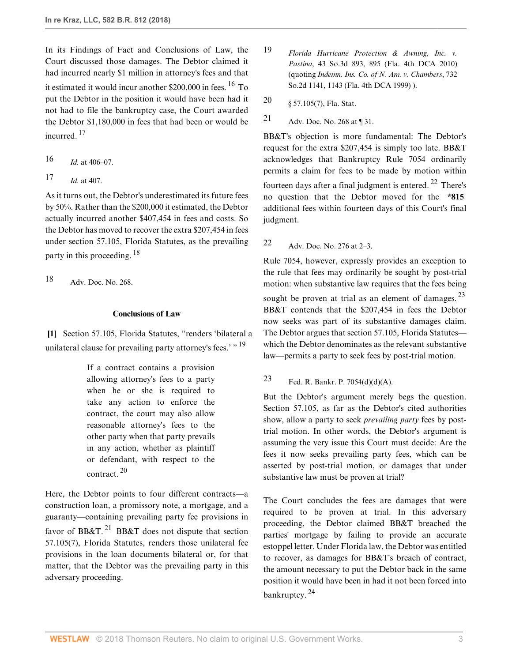In its Findings of Fact and Conclusions of Law, the Court discussed those damages. The Debtor claimed it had incurred nearly \$1 million in attorney's fees and that it estimated it would incur another  $$200,000$  in fees. <sup>[16](#page-2-0)</sup> To put the Debtor in the position it would have been had it not had to file the bankruptcy case, the Court awarded the Debtor \$1,180,000 in fees that had been or would be incurred.<sup>[17](#page-2-1)</sup>

<span id="page-2-3"></span><span id="page-2-0"></span>[16](#page-2-2)  $Id.$  [at 406–07](http://www.westlaw.com/Link/Document/FullText?findType=Y&serNum=2041473046&pubNum=0000164&originatingDoc=If26a45e0369811e8a054a06708233710&refType=RP&fi=co_pp_sp_164_406&originationContext=document&vr=3.0&rs=cblt1.0&transitionType=DocumentItem&contextData=(sc.PubAlert)#co_pp_sp_164_406).

```
17 Id. at 407.
```
As it turns out, the Debtor's underestimated its future fees by 50%. Rather than the \$200,000 it estimated, the Debtor actually incurred another \$407,454 in fees and costs. So the Debtor has moved to recover the extra \$207,454 in fees under [section 57.105, Florida Statutes](http://www.westlaw.com/Link/Document/FullText?findType=L&pubNum=1000006&cite=FLSTS57.105&originatingDoc=If26a45e0369811e8a054a06708233710&refType=LQ&originationContext=document&vr=3.0&rs=cblt1.0&transitionType=DocumentItem&contextData=(sc.PubAlert)), as the prevailing party in this proceeding. [18](#page-2-4)

<span id="page-2-4"></span>[18](#page-2-5) Adv. Doc. No. 268.

# <span id="page-2-5"></span>**Conclusions of Law**

**[\[1](#page-0-0)]** [Section 57.105, Florida Statutes,](http://www.westlaw.com/Link/Document/FullText?findType=L&pubNum=1000006&cite=FLSTS57.105&originatingDoc=If26a45e0369811e8a054a06708233710&refType=LQ&originationContext=document&vr=3.0&rs=cblt1.0&transitionType=DocumentItem&contextData=(sc.PubAlert)) "renders 'bilateral a unilateral clause for prevailing party attorney's fees.'  $\cdot$ <sup>[19](#page-2-6)</sup>

> If a contract contains a provision allowing attorney's fees to a party when he or she is required to take any action to enforce the contract, the court may also allow reasonable attorney's fees to the other party when that party prevails in any action, whether as plaintiff or defendant, with respect to the contract.  $20$

<span id="page-2-11"></span><span id="page-2-10"></span>Here, the Debtor points to four different contracts—a construction loan, a promissory note, a mortgage, and a guaranty—containing prevailing party fee provisions in favor of BB&T.<sup>[21](#page-2-8)</sup> BB&T does not dispute that [section](http://www.westlaw.com/Link/Document/FullText?findType=L&pubNum=1000006&cite=FLSTS57.105&originatingDoc=If26a45e0369811e8a054a06708233710&refType=SP&originationContext=document&vr=3.0&rs=cblt1.0&transitionType=DocumentItem&contextData=(sc.PubAlert)#co_pp_794b00004e3d1) [57.105\(7\), Florida Statutes,](http://www.westlaw.com/Link/Document/FullText?findType=L&pubNum=1000006&cite=FLSTS57.105&originatingDoc=If26a45e0369811e8a054a06708233710&refType=SP&originationContext=document&vr=3.0&rs=cblt1.0&transitionType=DocumentItem&contextData=(sc.PubAlert)#co_pp_794b00004e3d1) renders those unilateral fee provisions in the loan documents bilateral or, for that matter, that the Debtor was the prevailing party in this adversary proceeding.

- <span id="page-2-6"></span>[19](#page-2-9) *[Florida Hurricane Protection & Awning, Inc. v.](http://www.westlaw.com/Link/Document/FullText?findType=Y&serNum=2022943152&pubNum=0003926&originatingDoc=If26a45e0369811e8a054a06708233710&refType=RP&fi=co_pp_sp_3926_895&originationContext=document&vr=3.0&rs=cblt1.0&transitionType=DocumentItem&contextData=(sc.PubAlert)#co_pp_sp_3926_895) Pastina*[, 43 So.3d 893, 895 \(Fla. 4th DCA 2010\)](http://www.westlaw.com/Link/Document/FullText?findType=Y&serNum=2022943152&pubNum=0003926&originatingDoc=If26a45e0369811e8a054a06708233710&refType=RP&fi=co_pp_sp_3926_895&originationContext=document&vr=3.0&rs=cblt1.0&transitionType=DocumentItem&contextData=(sc.PubAlert)#co_pp_sp_3926_895) (quoting *Indemn. [Ins. Co. of N. Am. v. Chambers](http://www.westlaw.com/Link/Document/FullText?findType=Y&serNum=1999080655&pubNum=0000735&originatingDoc=If26a45e0369811e8a054a06708233710&refType=RP&fi=co_pp_sp_735_1143&originationContext=document&vr=3.0&rs=cblt1.0&transitionType=DocumentItem&contextData=(sc.PubAlert)#co_pp_sp_735_1143)*, 732 [So.2d 1141, 1143 \(Fla. 4th DCA 1999\)](http://www.westlaw.com/Link/Document/FullText?findType=Y&serNum=1999080655&pubNum=0000735&originatingDoc=If26a45e0369811e8a054a06708233710&refType=RP&fi=co_pp_sp_735_1143&originationContext=document&vr=3.0&rs=cblt1.0&transitionType=DocumentItem&contextData=(sc.PubAlert)#co_pp_sp_735_1143) ).
- <span id="page-2-7"></span><span id="page-2-2"></span>[20](#page-2-10) [§ 57.105\(7\), Fla. Stat.](http://www.westlaw.com/Link/Document/FullText?findType=L&pubNum=1000006&cite=FLSTS57.105&originatingDoc=If26a45e0369811e8a054a06708233710&refType=SP&originationContext=document&vr=3.0&rs=cblt1.0&transitionType=DocumentItem&contextData=(sc.PubAlert)#co_pp_794b00004e3d1)
- <span id="page-2-8"></span>[21](#page-2-11) Adv. Doc. No. 268 at ¶ 31.

<span id="page-2-13"></span>BB&T's objection is more fundamental: The Debtor's request for the extra \$207,454 is simply too late. BB&T acknowledges that Bankruptcy Rule 7054 ordinarily permits a claim for fees to be made by motion within fourteen days after a final judgment is entered.  $^{22}$  $^{22}$  $^{22}$  There's no question that the Debtor moved for the **\*815** additional fees within fourteen days of this Court's final judgment.

<span id="page-2-12"></span>[22](#page-2-13) Adv. Doc. No. 276 at 2–3.

<span id="page-2-15"></span>Rule 7054, however, expressly provides an exception to the rule that fees may ordinarily be sought by post-trial motion: when substantive law requires that the fees being sought be proven at trial as an element of damages.  $2<sup>3</sup>$ BB&T contends that the \$207,454 in fees the Debtor now seeks was part of its substantive damages claim. The Debtor argues that [section 57.105, Florida Statutes](http://www.westlaw.com/Link/Document/FullText?findType=L&pubNum=1000006&cite=FLSTS57.105&originatingDoc=If26a45e0369811e8a054a06708233710&refType=LQ&originationContext=document&vr=3.0&rs=cblt1.0&transitionType=DocumentItem&contextData=(sc.PubAlert)) which the Debtor denominates as the relevant substantive law—permits a party to seek fees by post-trial motion.

<span id="page-2-14"></span><span id="page-2-9"></span>[23](#page-2-15) [Fed. R. Bankr. P. 7054\(d\)\(d\)\(A\).](http://www.westlaw.com/Link/Document/FullText?findType=L&pubNum=1000611&cite=USFRBPR7054&originatingDoc=If26a45e0369811e8a054a06708233710&refType=LQ&originationContext=document&vr=3.0&rs=cblt1.0&transitionType=DocumentItem&contextData=(sc.PubAlert))

But the Debtor's argument merely begs the question. [Section 57.105,](http://www.westlaw.com/Link/Document/FullText?findType=L&pubNum=1000006&cite=FLSTS57.105&originatingDoc=If26a45e0369811e8a054a06708233710&refType=LQ&originationContext=document&vr=3.0&rs=cblt1.0&transitionType=DocumentItem&contextData=(sc.PubAlert)) as far as the Debtor's cited authorities show, allow a party to seek *prevailing party* fees by posttrial motion. In other words, the Debtor's argument is assuming the very issue this Court must decide: Are the fees it now seeks prevailing party fees, which can be asserted by post-trial motion, or damages that under substantive law must be proven at trial?

<span id="page-2-16"></span>The Court concludes the fees are damages that were required to be proven at trial. In this adversary proceeding, the Debtor claimed BB&T breached the parties' mortgage by failing to provide an accurate estoppel letter. Under Florida law, the Debtor was entitled to recover, as damages for BB&T's breach of contract, the amount necessary to put the Debtor back in the same position it would have been in had it not been forced into bankruptcy. [24](#page-3-0)